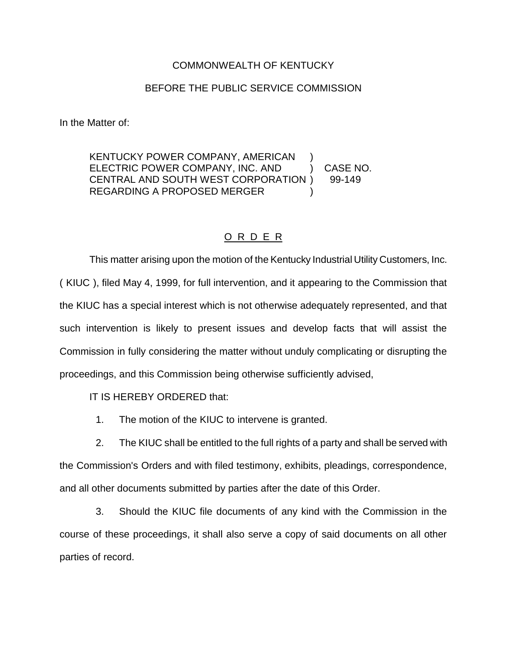## COMMONWEALTH OF KENTUCKY

## BEFORE THE PUBLIC SERVICE COMMISSION

In the Matter of:

KENTUCKY POWER COMPANY, AMERICAN ELECTRIC POWER COMPANY, INC. AND ) CASE NO. CENTRAL AND SOUTH WEST CORPORATION ) 99-149 REGARDING A PROPOSED MERGER

## O R D E R

This matter arising upon the motion of the Kentucky Industrial Utility Customers, Inc. ( KIUC ), filed May 4, 1999, for full intervention, and it appearing to the Commission that the KIUC has a special interest which is not otherwise adequately represented, and that such intervention is likely to present issues and develop facts that will assist the Commission in fully considering the matter without unduly complicating or disrupting the proceedings, and this Commission being otherwise sufficiently advised,

IT IS HEREBY ORDERED that:

1. The motion of the KIUC to intervene is granted.

2. The KIUC shall be entitled to the full rights of a party and shall be served with the Commission's Orders and with filed testimony, exhibits, pleadings, correspondence, and all other documents submitted by parties after the date of this Order.

3. Should the KIUC file documents of any kind with the Commission in the course of these proceedings, it shall also serve a copy of said documents on all other parties of record.